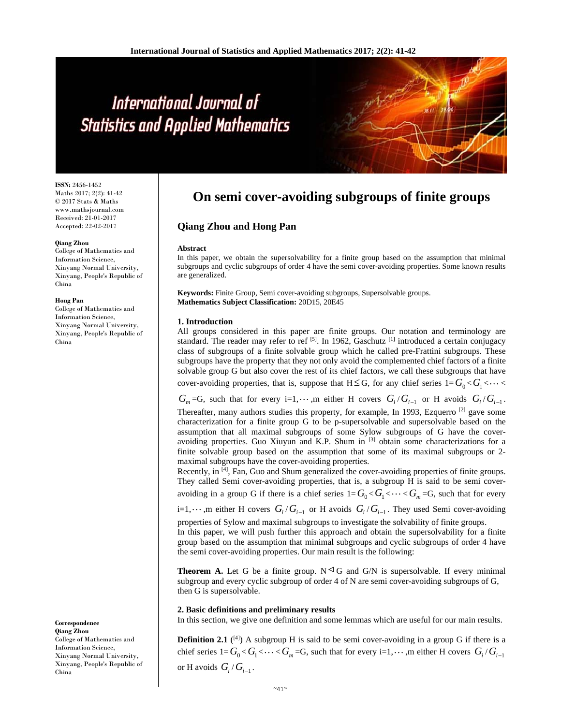# International Journal of **Statistics and Applied Mathematics**

**ISSN:** 2456-1452 Maths 2017; 2(2): 41-42 © 2017 Stats & Maths www.mathsjournal.com Received: 21-01-2017 Accepted: 22-02-2017

#### **Qiang Zhou**

College of Mathematics and Information Science, Xinyang Normal University, Xinyang, People's Republic of China

#### **Hong Pan**

College of Mathematics and Information Science, Xinyang Normal University, Xinyang, People's Republic of China

**Correspondence Qiang Zhou**  College of Mathematics and Information Science, Xinyang Normal University, Xinyang, People's Republic of China

## **On semi cover-avoiding subgroups of finite groups**

### **Qiang Zhou and Hong Pan**

#### **Abstract**

In this paper, we obtain the supersolvability for a finite group based on the assumption that minimal subgroups and cyclic subgroups of order 4 have the semi cover-avoiding properties. Some known results are generalized.

**Keywords:** Finite Group, Semi cover-avoiding subgroups, Supersolvable groups. **Mathematics Subject Classification:** 20D15, 20E45

#### **1. Introduction**

All groups considered in this paper are finite groups. Our notation and terminology are standard. The reader may refer to ref [5]. In 1962, Gaschutz [1] introduced a certain conjugacy class of subgroups of a finite solvable group which he called pre-Frattini subgroups. These subgroups have the property that they not only avoid the complemented chief factors of a finite solvable group G but also cover the rest of its chief factors, we call these subgroups that have cover-avoiding properties, that is, suppose that  $H \leq G$ , for any chief series  $1 = G_0 < G_1 < \cdots <$ 

 $G_m = G$ , such that for every i=1, $\cdots$ ,m either H covers  $G_i/G_{i-1}$  or H avoids  $G_i/G_{i-1}$ .

Thereafter, many authors studies this property, for example, In 1993, Ezquerro  $^{[2]}$  gave some characterization for a finite group G to be p-supersolvable and supersolvable based on the assumption that all maximal subgroups of some Sylow subgroups of G have the coveravoiding properties. Guo Xiuyun and K.P. Shum in  $[3]$  obtain some characterizations for a finite solvable group based on the assumption that some of its maximal subgroups or 2 maximal subgroups have the cover-avoiding properties.

Recently, in [4], Fan, Guo and Shum generalized the cover-avoiding properties of finite groups. They called Semi cover-avoiding properties, that is, a subgroup H is said to be semi coveravoiding in a group G if there is a chief series  $1 = G_0 < G_1 < \cdots < G_m = G$ , such that for every

i=1, $\cdots$ ,m either H covers  $G_i/G_{i-1}$  or H avoids  $G_i/G_{i-1}$ . They used Semi cover-avoiding

properties of Sylow and maximal subgroups to investigate the solvability of finite groups. In this paper, we will push further this approach and obtain the supersolvability for a finite group based on the assumption that minimal subgroups and cyclic subgroups of order 4 have the semi cover-avoiding properties. Our main result is the following:

**Theorem A.** Let G be a finite group.  $N \triangleleft G$  and  $G/N$  is supersolvable. If every minimal subgroup and every cyclic subgroup of order 4 of N are semi cover-avoiding subgroups of G, then G is supersolvable.

#### **2. Basic definitions and preliminary results**

In this section, we give one definition and some lemmas which are useful for our main results.

**Definition 2.1** ( $[4]$ ) A subgroup H is said to be semi cover-avoiding in a group G if there is a chief series  $1 = G_0 < G_1 < \cdots < G_m = G$ , such that for every  $i = 1, \cdots, m$  either H covers  $G_i/G_{i-1}$ or H avoids  $G_i/G_{i-1}$ .